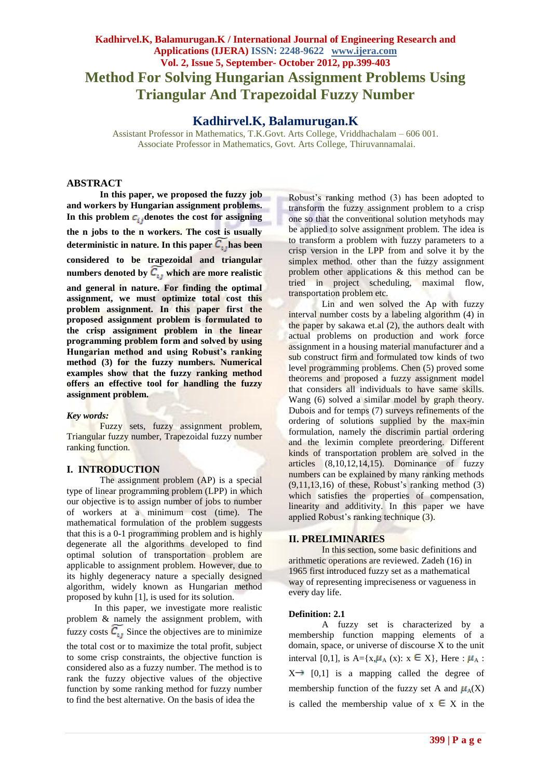# **Kadhirvel.K, Balamurugan.K / International Journal of Engineering Research and Applications (IJERA) ISSN: 2248-9622 www.ijera.com Vol. 2, Issue 5, September- October 2012, pp.399-403 Method For Solving Hungarian Assignment Problems Using Triangular And Trapezoidal Fuzzy Number**

# **Kadhirvel.K, Balamurugan.K**

Assistant Professor in Mathematics, T.K.Govt. Arts College, Vriddhachalam – 606 001. Associate Professor in Mathematics, Govt. Arts College, Thiruvannamalai.

# **ABSTRACT**

**In this paper, we proposed the fuzzy job and workers by Hungarian assignment problems.**  In this problem  $c_{ij}$  denotes the cost for assigning **the n jobs to the n workers. The cost is usually**  deterministic in nature. In this paper  $C_{1}$  has been **considered to be trapezoidal and triangular**  numbers denoted by  $C_{1}$ , which are more realistic **and general in nature. For finding the optimal assignment, we must optimize total cost this problem assignment. In this paper first the proposed assignment problem is formulated to the crisp assignment problem in the linear programming problem form and solved by using Hungarian method and using Robust's ranking method (3) for the fuzzy numbers. Numerical examples show that the fuzzy ranking method offers an effective tool for handling the fuzzy assignment problem.**

### *Key words:*

Fuzzy sets, fuzzy assignment problem, Triangular fuzzy number, Trapezoidal fuzzy number ranking function.

### **I. INTRODUCTION**

The assignment problem (AP) is a special type of linear programming problem (LPP) in which our objective is to assign number of jobs to number of workers at a minimum cost (time). The mathematical formulation of the problem suggests that this is a 0-1 programming problem and is highly degenerate all the algorithms developed to find optimal solution of transportation problem are applicable to assignment problem. However, due to its highly degeneracy nature a specially designed algorithm, widely known as Hungarian method proposed by kuhn [1], is used for its solution.

 In this paper, we investigate more realistic problem & namely the assignment problem, with fuzzy costs  $\widetilde{C_{ij}}$  Since the objectives are to minimize

the total cost or to maximize the total profit, subject to some crisp constraints, the objective function is considered also as a fuzzy number. The method is to rank the fuzzy objective values of the objective function by some ranking method for fuzzy number to find the best alternative. On the basis of idea the

Robust's ranking method (3) has been adopted to transform the fuzzy assignment problem to a crisp one so that the conventional solution metyhods may be applied to solve assignment problem. The idea is to transform a problem with fuzzy parameters to a crisp version in the LPP from and solve it by the simplex method. other than the fuzzy assignment problem other applications & this method can be tried in project scheduling, maximal flow, transportation problem etc.

Lin and wen solved the Ap with fuzzy interval number costs by a labeling algorithm (4) in the paper by sakawa et.al (2), the authors dealt with actual problems on production and work force assignment in a housing material manufacturer and a sub construct firm and formulated tow kinds of two level programming problems. Chen (5) proved some theorems and proposed a fuzzy assignment model that considers all individuals to have same skills. Wang (6) solved a similar model by graph theory. Dubois and for temps (7) surveys refinements of the ordering of solutions supplied by the max-min formulation, namely the discrimin partial ordering and the leximin complete preordering. Different kinds of transportation problem are solved in the articles (8,10,12,14,15). Dominance of fuzzy numbers can be explained by many ranking methods  $(9,11,13,16)$  of these, Robust's ranking method  $(3)$ which satisfies the properties of compensation, linearity and additivity. In this paper we have applied Robust's ranking technique (3).

### **II. PRELIMINARIES**

In this section, some basic definitions and arithmetic operations are reviewed. Zadeh (16) in 1965 first introduced fuzzy set as a mathematical way of representing impreciseness or vagueness in every day life.

### **Definition: 2.1**

A fuzzy set is characterized by a membership function mapping elements of a domain, space, or universe of discourse X to the unit interval [0,1], is A={ $x, \mu_A$  (x):  $x \in X$ }, Here :  $\mu_A$ :  $X \rightarrow [0,1]$  is a mapping called the degree of membership function of the fuzzy set A and  $\mu_A(X)$ is called the membership value of  $x \in X$  in the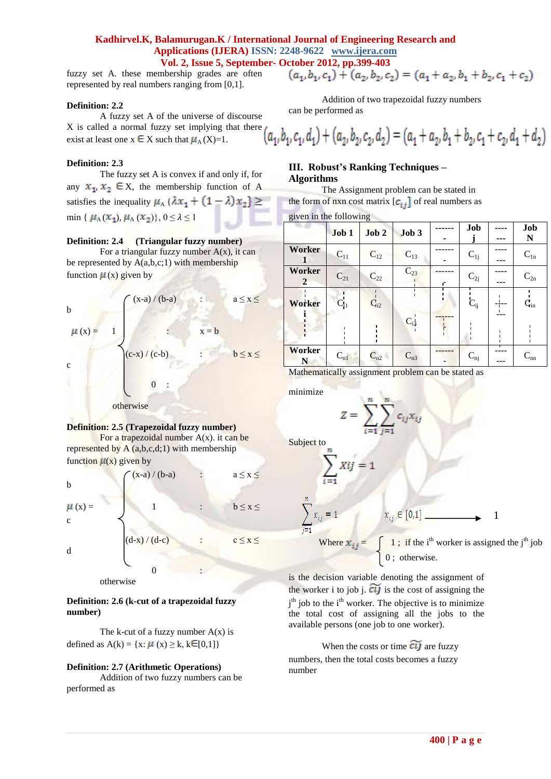## **Kadhirvel.K, Balamurugan.K / International Journal of Engineering Research and Applications (IJERA) ISSN: 2248-9622 www.ijera.com Vol. 2, Issue 5, September- October 2012, pp.399-403**

fuzzy set A. these membership grades are often represented by real numbers ranging from [0,1].

#### **Definition: 2.2**

A fuzzy set A of the universe of discourse X is called a normal fuzzy set implying that there l a exist at least one  $x \in X$  such that  $\mu_A(X)=1$ .

#### **Definition: 2.3**

The fuzzy set A is convex if and only if, for any  $x_1, x_2 \in X$ , the membership function of A satisfies the inequality  $\mu_A \{\lambda x_1 + (1 - \lambda)x_2\} \ge$ min {  $\mu_A(x_1), \mu_A(x_2)$ },  $0 \le \lambda \le 1$ 

#### **Definition: 2.4 (Triangular fuzzy number)**

For a triangular fuzzy number  $A(x)$ , it can be represented by  $A(a,b,c;1)$  with membership function  $\mu(x)$  given by



#### **Definition: 2.5 (Trapezoidal fuzzy number)**

For a trapezoidal number  $A(x)$ . it can be represented by  $A(a,b,c,d;1)$  with membership function  $\mu(x)$  given by

b  
\n
$$
\mu(x) = \begin{cases}\n(x-a)/(b-a) & : a \le x \le b \\
1 & : b \le x \le c \\
(d-x)/(d-c) & : c \le x \le d\n\end{cases}
$$

 $\begin{array}{ccc} & 0 & \cdots & \cdots \end{array}$ otherwise

### **Definition: 2.6 (k-cut of a trapezoidal fuzzy number)**

The k-cut of a fuzzy number  $A(x)$  is defined as  $A(k) = \{x: \mu(x) \ge k, k \in [0,1]\}$ 

### **Definition: 2.7 (Arithmetic Operations)**

Addition of two fuzzy numbers can be performed as

$$
(a_1, b_1, c_1) + (a_2, b_2, c_2) = (a_1 + a_2, b_1 + b_2, c_1 + c_2)
$$

Addition of two trapezoidal fuzzy numbers can be performed as

$$
A_1, B_1, C_1, d_1) + (a_2, b_2, c_2, d_2) = (a_1 + a_2, b_1 + b_2, c_1 + c_2, d_1 + d_2)
$$

## **III. Robust's Ranking Techniques – Algorithms**

The Assignment problem can be stated in the form of nxn cost matrix  $[c_{ij}]$  of real numbers as

given in the following

| $5.001 \text{ m}$ and $10110 \text{ mm}$ |          |          |          |   |          |  |                          |
|------------------------------------------|----------|----------|----------|---|----------|--|--------------------------|
|                                          | Job 1    | Job 2    | Job 3    |   | Job      |  | Job                      |
|                                          |          |          |          |   |          |  | N                        |
| Worker                                   | $C_{11}$ | $C_{12}$ | $C_{13}$ |   | $C_{1j}$ |  | $C_{1n}$                 |
|                                          |          |          |          |   |          |  |                          |
| Worker                                   | $C_{21}$ |          | $C_{23}$ |   |          |  | $C_{2n}$                 |
| $\overline{2}$                           |          | $C_{22}$ |          | C | $C_{2j}$ |  |                          |
| Worker                                   | $C_{11}$ | $C_{i2}$ |          |   | $C_{ij}$ |  | $\mathbf{C}_{\text{in}}$ |
|                                          |          |          | $C_{i}$  |   |          |  |                          |
| <b>Worker</b><br>N                       | $C_{n1}$ | $C_{n2}$ | $C_{n3}$ |   | $C_{nj}$ |  | $C_{nn}$                 |

Mathematically assignment problem can be stated as

minimize

$$
Z = \sum_{i=1}^{n} \sum_{j=1}^{n} c_{ij} x_{ij}
$$

Subject to

$$
\sum_{i=1}^{n} Xij = 1
$$

$$
x_{ij} = 1
$$
\nWhere  $x_{ij} = \int 1$ ; if the i<sup>th</sup> worker is assigned the j<sup>th</sup> job

0; otherwise. is the decision variable denoting the assignment of the worker i to job j.  $\widetilde{cij}$  is the cost of assigning the j<sup>th</sup> job to the i<sup>th</sup> worker. The objective is to minimize the total cost of assigning all the jobs to the

# When the costs or time  $\widetilde{cij}$  are fuzzy

numbers, then the total costs becomes a fuzzy number

available persons (one job to one worker).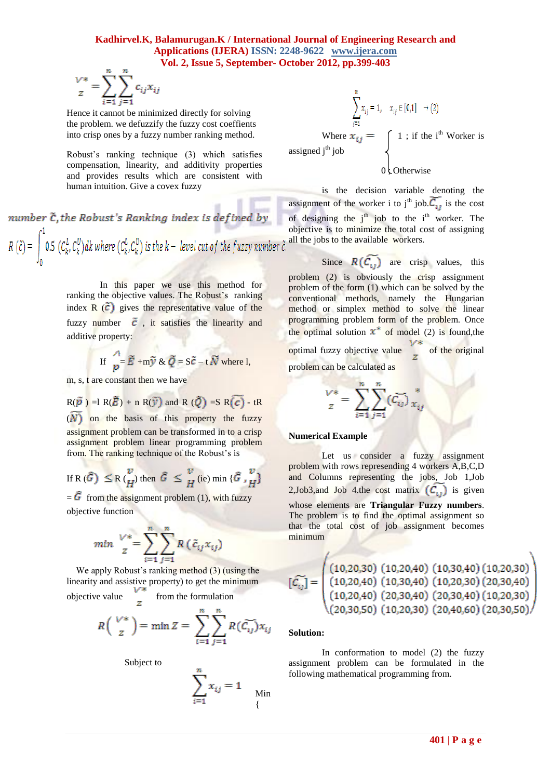### **Kadhirvel.K, Balamurugan.K / International Journal of Engineering Research and Applications (IJERA) ISSN: 2248-9622 www.ijera.com Vol. 2, Issue 5, September- October 2012, pp.399-403**

$$
\frac{V^*}{z} = \sum_{i=1}^n \sum_{j=1}^n c_{ij} x_{ij}
$$

Hence it cannot be minimized directly for solving the problem. we defuzzify the fuzzy cost coeffients into crisp ones by a fuzzy number ranking method.

Robust's ranking technique (3) which satisfies compensation, linearity, and additivity properties and provides results which are consistent with human intuition. Give a covex fuzzy

number  $\tilde{c}$ , the Robust's Ranking index is defined by  $R(\tilde{c}) = \int_0^1 0.5 \, (C_k^L, C_k^U) dk$  where  $(C_k^L, C_k^U)$  is the  $k$  – level cut of the fuzzy number  $\tilde{c}$ .

> In this paper we use this method for ranking the objective values. The Robust's ranking index  $\overline{R}(\tilde{c})$  gives the representative value of the fuzzy number  $\tilde{c}$ , it satisfies the linearity and additive property:

If 
$$
\int_{p}^{\Lambda} \vec{E} + m\vec{y} \& \vec{Q} = S\vec{c} - t\vec{N}
$$
 where l,

m, s, t are constant then we have

$$
R(\widetilde{p}) = R(\widetilde{E}) + n R(\widetilde{y}) \text{ and } R(\widetilde{Q}) = SR(\widetilde{C}) - tR
$$
  
(*N*) on the basis of this property the fuzzy

assignment problem can be transformed in to a crisp assignment problem linear programming problem from. The ranking technique of the Robust's is

If R 
$$
(\widehat{G}) \leq R {v \choose H}
$$
 then  $\widehat{G} \leq \frac{v}{H}$  (ie) min  $\{\widehat{G}, \frac{v}{H}\}$ 

 $=$  G from the assignment problem (1), with fuzzy objective function

$$
min \sum_{z}^{V*} = \sum_{i=1}^{n} \sum_{j=1}^{n} R\left(\tilde{c}_{ij} x_{ij}\right)
$$

We apply Robust's ranking method (3) (using the linearity and assistive property) to get the minimum<br>objective value  $\frac{V^*}{z}$  from the formulation objective value  $\overline{a}$  from the formulation

$$
R\left(\begin{array}{c}\nV^* \\
z\n\end{array}\right) = \min Z = \sum_{i=1}^n \sum_{j=1}^n R(\widetilde{C_{ij}}) x_{ij}
$$

Subject to

$$
\sum_{i=1}^{n} x_{ij} = 1
$$
 Min

$$
\sum_{j=1}^{n} x_{ij} = 1, \quad x_{ij} \in [0,1] \rightarrow (2)
$$
  
Where  $\mathbf{x}_{ij} = \begin{cases} 1; \text{ if the i}^{\text{th}} \text{ Worker is} \\ 0; \text{Otherwise} \end{cases}$ 

is the decision variable denoting the assignment of the worker i to j<sup>th</sup> job.  $\overline{C_{ij}}$  is the cost of designing the  $j<sup>th</sup>$  job to the  $i<sup>th</sup>$  worker. The objective is to minimize the total cost of assigning all the jobs to the available workers.

Since  $R(C_{1})$  are crisp values, this problem (2) is obviously the crisp assignment problem of the form (1) which can be solved by the conventional methods, namely the Hungarian method or simplex method to solve the linear programming problem form of the problem. Once the optimal solution  $x^*$  of model (2) is found, the optimal fuzzy objective value of the original problem can be calculated as

$$
\frac{V^*}{z} = \sum_{i=1}^n \sum_{j=1}^n (\vec{c}_{ij})_{x_{ij}}^*
$$

#### **Numerical Example**

Let us consider a fuzzy assignment problem with rows represending 4 workers A,B,C,D and Columns representing the jobs, Job 1,Job 2, Job3, and Job 4.the cost matrix  $(C_i)$  is given whose elements are **Triangular Fuzzy numbers**. The problem is to find the optimal assignment so that the total cost of job assignment becomes minimum

$$
\widetilde{\mathcal{C}_{ij}} = \begin{pmatrix}\n(10,20,30) & (10,20,40) & (10,30,40) & (10,20,30) \\
(10,20,40) & (10,30,40) & (10,20,30) & (20,30,40) \\
(10,20,40) & (20,30,40) & (20,30,40) & (10,20,30) \\
(20,30,50) & (10,20,30) & (20,40,60) & (20,30,50)\n\end{pmatrix}
$$

#### **Solution:**

Т

In conformation to model (2) the fuzzy assignment problem can be formulated in the following mathematical programming from.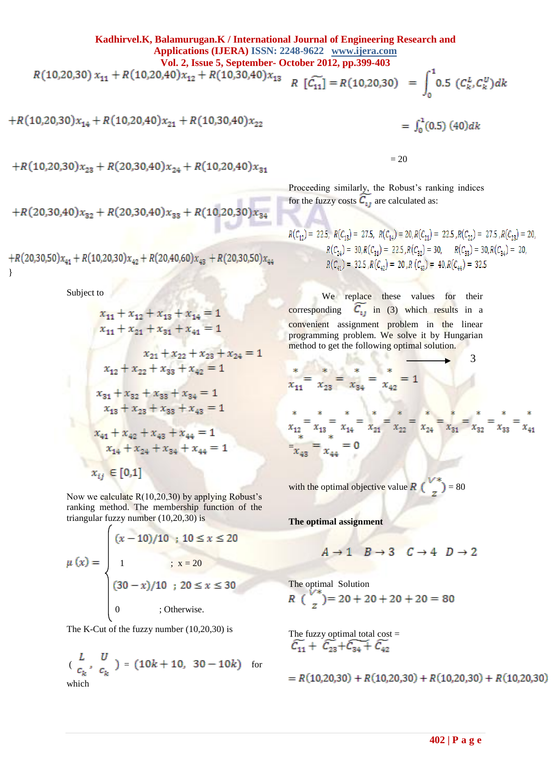**Kadhirvel.K, Balamurugan.K / International Journal of Engineering Research and Applications (IJERA) ISSN: 2248-9622 www.ijera.com Vol. 2, Issue 5, September- October 2012, pp.399-403**<br> $R(10,20,30) x_{11} + R(10,20,40) x_{12} + R(10,30,40) x_{13} = R[\widetilde{C}] = R(10,30,30)$  $R\left[\widetilde{\mathcal{C}_{11}}\right] = R(10,20,30) = \int_{0}^{1} 0.5\left(\mathcal{C}_{k}^{L}, \mathcal{C}_{k}^{U}\right)dk$ 

$$
+R(10,20,30)x_{14}+R(10,20,40)x_{21}+R(10,30,40)x_{22}
$$

 $=\int_0^1 (0.5) (40) dk$ 

 $+R(10,20,30)x_{23}+R(20,30,40)x_{24}+R(10,20,40)x_{31}$ 

$$
+R(20,30,40)x_{32}+R(20,30,40)x_{33}+R(10,20,30)x_{34}
$$

}

Subject to

$$
x_{11} + x_{12} + x_{13} + x_{14} = 1
$$
  
\n
$$
x_{11} + x_{21} + x_{31} + x_{41} = 1
$$
  
\n
$$
x_{21} + x_{22} + x_{23} + x_{24} = 1
$$
  
\n
$$
x_{12} + x_{22} + x_{33} + x_{42} = 1
$$
  
\n
$$
x_{31} + x_{32} + x_{33} + x_{34} = 1
$$
  
\n
$$
x_{13} + x_{23} + x_{33} + x_{43} = 1
$$
  
\n
$$
x_{41} + x_{42} + x_{43} + x_{44} = 1
$$
  
\n
$$
x_{14} + x_{24} + x_{34} + x_{44} = 1
$$
  
\n
$$
x_{ij} \in [0,1]
$$

Now we calculate R(10,20,30) by applying Robust's ranking method. The membership function of the triangular fuzzy number (10,20,30) is

$$
\mu(x) = \begin{cases}\n(x - 10)/10; & 10 \le x \le 20 \\
1; & x = 20 \\
(30 - x)/10; & 20 \le x \le 30 \\
0; & \text{otherwise.} \n\end{cases}
$$

The K-Cut of the fuzzy number (10,20,30) is

$$
\begin{pmatrix} L & U \\ c_k & c_k \end{pmatrix} = \begin{pmatrix} 10k + 10, \ 30 - 10k \end{pmatrix} \quad \text{for}
$$
 which

 $= 20$ 

Proceeding similarly, the Robust's ranking indices for the fuzzy costs  $\widetilde{C_{1j}}$  are calculated as:

$$
R(C_{12}) = 22.5, R(C_{13}) = 27.5, R(C_{14}) = 20, R(C_{21}) = 22.5, R(C_{22}) = 27.5, R(C_{23}) = 20,
$$
  
\n
$$
R(C_{24}) = 30, R(C_{31}) = 22.5, R(C_{32}) = 30, R(C_{33}) = 30, R(C_{34}) = 20,
$$
  
\n
$$
R(C_{41}) = 32.5, R(C_{42}) = 20, R(C_{43}) = 40, R(C_{44}) = 32.5
$$

We replace these values for their corresponding  $C_{11}$  in (3) which results in a convenient assignment problem in the linear programming problem. We solve it by Hungarian method to get the following optimal solution.

$$
\frac{x}{x_{11}} = \frac{x}{x_{23}} = \frac{x}{x_{34}} = \frac{x}{x_{42}} = 1
$$

 $31.5$ 

$$
\sum_{x_{12}}^{*} = \sum_{x_{13}}^{*} = \sum_{x_{14}}^{*} = \sum_{x_{21}}^{*} = \sum_{x_{22}}^{*} = \sum_{x_{24}}^{*} = \sum_{x_{31}}^{*} = \sum_{x_{32}}^{*} = \sum_{x_{33}}^{*} = \sum_{x_{41}}^{*}
$$

$$
= \sum_{x_{43}}^{*} = \sum_{x_{44}}^{*} = 0
$$

3

with the optimal objective value  $R\begin{pmatrix} 1 & 1 \\ 0 & 1 \end{pmatrix} = 80$ 

**The optimal assignment**

$$
A \rightarrow 1 \quad B \rightarrow 3 \quad C \rightarrow 4 \quad D \rightarrow 2
$$

The optimal Solution

$$
R\left(\frac{V^*}{z}\right) = 20 + 20 + 20 + 20 = 80
$$

The fuzzy optimal total cost =<br> $\widetilde{C_{11}} + \widetilde{C_{23}} + \widetilde{C_{34}} + \widetilde{C_{42}}$ 

$$
= R(10,20,30) + R(10,20,30) + R(10,20,30) + R(10,20,30)
$$